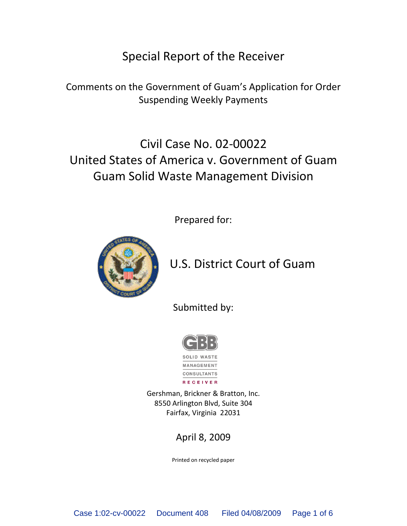## Special Report of the Receiver

Comments on the Government of Guam's Application for Order Suspending Weekly Payments

# Civil Case No. 02-00022 United States of America v. Government of Guam Guam Solid Waste Management Division

Prepared for:



## U.S. District Court of Guam

Submitted by:



RECEIVER

Gershman, Brickner & Bratton, Inc. 8550 Arlington Blvd, Suite 304 Fairfax, Virginia 22031

### April 8, 2009

Printed on recycled paper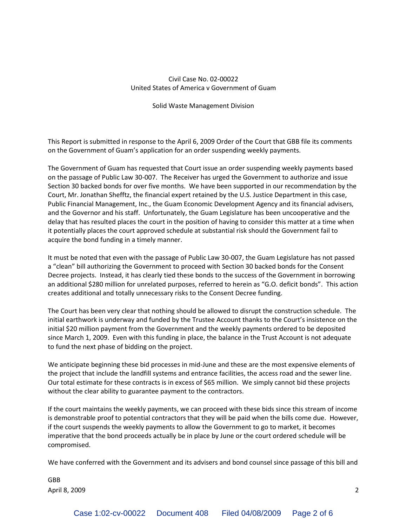### Civil Case No. 02-00022 United States of America v Government of Guam

### Solid Waste Management Division

This Report is submitted in response to the April 6, 2009 Order of the Court that GBB file its comments on the Government of Guam's application for an order suspending weekly payments.

The Government of Guam has requested that Court issue an order suspending weekly payments based on the passage of Public Law 30-007. The Receiver has urged the Government to authorize and issue Section 30 backed bonds for over five months. We have been supported in our recommendation by the Court, Mr. Jonathan Shefftz, the financial expert retained by the U.S. Justice Department in this case, Public Financial Management, Inc., the Guam Economic Development Agency and its financial advisers, and the Governor and his staff. Unfortunately, the Guam Legislature has been uncooperative and the delay that has resulted places the court in the position of having to consider this matter at a time when it potentially places the court approved schedule at substantial risk should the Government fail to acquire the bond funding in a timely manner.

It must be noted that even with the passage of Public Law 30-007, the Guam Legislature has not passed a "clean" bill authorizing the Government to proceed with Section 30 backed bonds for the Consent Decree projects. Instead, it has clearly tied these bonds to the success of the Government in borrowing an additional \$280 million for unrelated purposes, referred to herein as "G.O. deficit bonds". This action creates additional and totally unnecessary risks to the Consent Decree funding.

The Court has been very clear that nothing should be allowed to disrupt the construction schedule. The initial earthwork is underway and funded by the Trustee Account thanks to the Court's insistence on the initial \$20 million payment from the Government and the weekly payments ordered to be deposited since March 1, 2009. Even with this funding in place, the balance in the Trust Account is not adequate to fund the next phase of bidding on the project.

We anticipate beginning these bid processes in mid-June and these are the most expensive elements of the project that include the landfill systems and entrance facilities, the access road and the sewer line. Our total estimate for these contracts is in excess of \$65 million. We simply cannot bid these projects without the clear ability to guarantee payment to the contractors.

If the court maintains the weekly payments, we can proceed with these bids since this stream of income is demonstrable proof to potential contractors that they will be paid when the bills come due. However, if the court suspends the weekly payments to allow the Government to go to market, it becomes imperative that the bond proceeds actually be in place by June or the court ordered schedule will be compromised.

We have conferred with the Government and its advisers and bond counsel since passage of this bill and

GBB April 8, 2009 2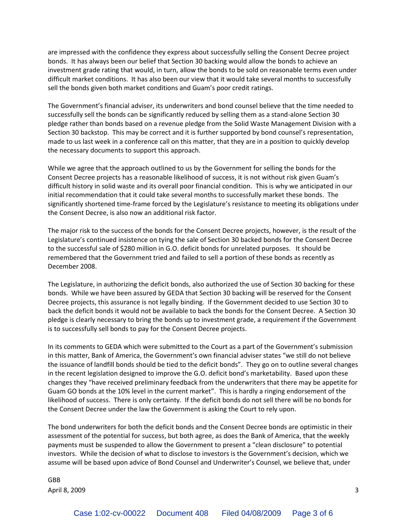are impressed with the confidence they express about successfully selling the Consent Decree project bonds. It has always been our belief that Section 30 backing would allow the bonds to achieve an investment grade rating that would, in turn, allow the bonds to be sold on reasonable terms even under difficult market conditions. It has also been our view that it would take several months to successfully sell the bonds given both market conditions and Guam's poor credit ratings.

The Government's financial adviser, its underwriters and bond counsel believe that the time needed to successfully sell the bonds can be significantly reduced by selling them as a stand-alone Section 30 pledge rather than bonds based on a revenue pledge from the Solid Waste Management Division with a Section 30 backstop. This may be correct and it is further supported by bond counsel's representation, made to us last week in a conference call on this matter, that they are in a position to quickly develop the necessary documents to support this approach.

While we agree that the approach outlined to us by the Government for selling the bonds for the Consent Decree projects has a reasonable likelihood of success, it is not without risk given Guam's difficult history in solid waste and its overall poor financial condition. This is why we anticipated in our initial recommendation that it could take several months to successfully market these bonds. The significantly shortened time-frame forced by the Legislature's resistance to meeting its obligations under the Consent Decree, is also now an additional risk factor.

The major risk to the success of the bonds for the Consent Decree projects, however, is the result of the Legislature's continued insistence on tying the sale of Section 30 backed bonds for the Consent Decree to the successful sale of \$280 million in G.O. deficit bonds for unrelated purposes. It should be remembered that the Government tried and failed to sell a portion of these bonds as recently as December 2008.

The Legislature, in authorizing the deficit bonds, also authorized the use of Section 30 backing for these bonds. While we have been assured by GEDA that Section 30 backing will be reserved for the Consent Decree projects, this assurance is not legally binding. If the Government decided to use Section 30 to back the deficit bonds it would not be available to back the bonds for the Consent Decree. A Section 30 pledge is clearly necessary to bring the bonds up to investment grade, a requirement if the Government is to successfully sell bonds to pay for the Consent Decree projects.

In its comments to GEDA which were submitted to the Court as a part of the Government's submission in this matter, Bank of America, the Government's own financial adviser states "we still do not believe the issuance of landfill bonds should be tied to the deficit bonds". They go on to outline several changes in the recent legislation designed to improve the G.O. deficit bond's marketability. Based upon these changes they "have received preliminary feedback from the underwriters that there may be appetite for Guam GO bonds at the 10% level in the current market". This is hardly a ringing endorsement of the likelihood of success. There is only certainty. If the deficit bonds do not sell there will be no bonds for the Consent Decree under the law the Government is asking the Court to rely upon.

The bond underwriters for both the deficit bonds and the Consent Decree bonds are optimistic in their assessment of the potential for success, but both agree, as does the Bank of America, that the weekly payments must be suspended to allow the Government to present a "clean disclosure" to potential investors. While the decision of what to disclose to investors is the Government's decision, which we assume will be based upon advice of Bond Counsel and Underwriter's Counsel, we believe that, under

GBB April 8, 2009 3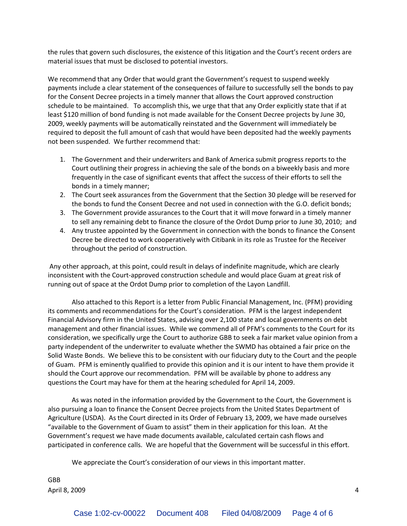the rules that govern such disclosures, the existence of this litigation and the Court's recent orders are material issues that must be disclosed to potential investors.

We recommend that any Order that would grant the Government's request to suspend weekly payments include a clear statement of the consequences of failure to successfully sell the bonds to pay for the Consent Decree projects in a timely manner that allows the Court approved construction schedule to be maintained. To accomplish this, we urge that that any Order explicitly state that if at least \$120 million of bond funding is not made available for the Consent Decree projects by June 30, 2009, weekly payments will be automatically reinstated and the Government will immediately be required to deposit the full amount of cash that would have been deposited had the weekly payments not been suspended. We further recommend that:

- 1. The Government and their underwriters and Bank of America submit progress reports to the Court outlining their progress in achieving the sale of the bonds on a biweekly basis and more frequently in the case of significant events that affect the success of their efforts to sell the bonds in a timely manner;
- 2. The Court seek assurances from the Government that the Section 30 pledge will be reserved for the bonds to fund the Consent Decree and not used in connection with the G.O. deficit bonds;
- 3. The Government provide assurances to the Court that it will move forward in a timely manner to sell any remaining debt to finance the closure of the Ordot Dump prior to June 30, 2010; and
- 4. Any trustee appointed by the Government in connection with the bonds to finance the Consent Decree be directed to work cooperatively with Citibank in its role as Trustee for the Receiver throughout the period of construction.

Any other approach, at this point, could result in delays of indefinite magnitude, which are clearly inconsistent with the Court-approved construction schedule and would place Guam at great risk of running out of space at the Ordot Dump prior to completion of the Layon Landfill.

Also attached to this Report is a letter from Public Financial Management, Inc. (PFM) providing its comments and recommendations for the Court's consideration. PFM is the largest independent Financial Advisory firm in the United States, advising over 2,100 state and local governments on debt management and other financial issues. While we commend all of PFM's comments to the Court for its consideration, we specifically urge the Court to authorize GBB to seek a fair market value opinion from a party independent of the underwriter to evaluate whether the SWMD has obtained a fair price on the Solid Waste Bonds. We believe this to be consistent with our fiduciary duty to the Court and the people of Guam. PFM is eminently qualified to provide this opinion and it is our intent to have them provide it should the Court approve our recommendation. PFM will be available by phone to address any questions the Court may have for them at the hearing scheduled for April 14, 2009.

As was noted in the information provided by the Government to the Court, the Government is also pursuing a loan to finance the Consent Decree projects from the United States Department of Agriculture (USDA). As the Court directed in its Order of February 13, 2009, we have made ourselves "available to the Government of Guam to assist" them in their application for this loan. At the Government's request we have made documents available, calculated certain cash flows and participated in conference calls. We are hopeful that the Government will be successful in this effort.

We appreciate the Court's consideration of our views in this important matter.

GBB April 8, 2009 4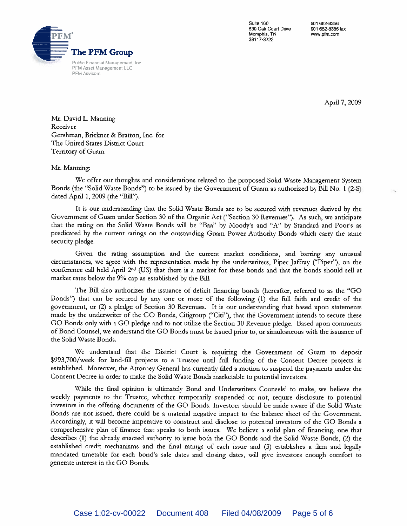

Suite 160 530 Oak Court Drive Memphis, TN 38117-3722

901 682-8356 901 682-8386 fax www.pfm.com

April 7, 2009

×,

Mr. David L. Manning Receiver Gershman, Brickner & Bratton, Inc. for The United States District Court Territory of Guam

#### Mr. Manning:

We offer our thoughts and considerations related to the proposed Solid Waste Management System Bonds (the "Solid Waste Bonds") to be issued by the Government of Guam as authorized by Bill No. 1 (2-S) dated April 1, 2009 (the "Bill").

It is our understanding that the Solid Waste Bonds are to be secured with revenues derived by the Government of Guam under Section 30 of the Organic Act ("Section 30 Revenues"). As such, we anticipate that the rating on the Solid Waste Bonds will be "Baa" by Moody's and "A" by Standard and Poor's as predicated by the current ratings on the outstanding Guam Power Authority Bonds which carry the same security pledge.

Given the rating assumption and the current market conditions, and barring any unusual circumstances, we agree with the representation made by the underwriters, Piper Jaffray ("Piper"), on the conference call held April 2<sup>nd</sup> (US) that there is a market for these bonds and that the bonds should sell at market rates below the 9% cap as established by the Bill.

The Bill also authorizes the issuance of deficit financing bonds (hereafter, referred to as the "GO Bonds") that can be secured by any one or more of the following (1) the full faith and credit of the government, or (2) a pledge of Section 30 Revenues. It is our understanding that based upon statements made by the underwriter of the GO Bonds, Citigroup ("Citi"), that the Government intends to secure these GO Bonds only with a GO pledge and to not utilize the Section 30 Revenue pledge. Based upon comments of Bond Counsel, we understand the GO Bonds must be issued prior to, or simultaneous with the issuance of the Solid Waste Bonds.

We understand that the District Court is requiring the Government of Guam to deposit \$993,700/week for land-fill projects to a Trustee until full funding of the Consent Decree projects is established. Moreover, the Attorney General has currently filed a motion to suspend the payments under the Consent Decree in order to make the Solid Waste Bonds marketable to potential investors.

While the final opinion is ultimately Bond and Underwriters Counsels' to make, we believe the weekly payments to the Trustee, whether temporarily suspended or not, require disclosure to potential investors in the offering documents of the GO Bonds. Investors should be made aware if the Solid Waste Bonds are not issued, there could be a material negative impact to the balance sheet of the Government. Accordingly, it will become imperative to construct and disclose to potential investors of the GO Bonds a comprehensive plan of finance that speaks to both issues. We believe a solid plan of financing, one that describes (1) the already enacted authority to issue both the GO Bonds and the Solid Waste Bonds, (2) the established credit mechanisms and the final ratings of each issue and (3) establishes a firm and legally mandated timetable for each bond's sale dates and closing dates, will give investors enough comfort to generate interest in the GO Bonds.